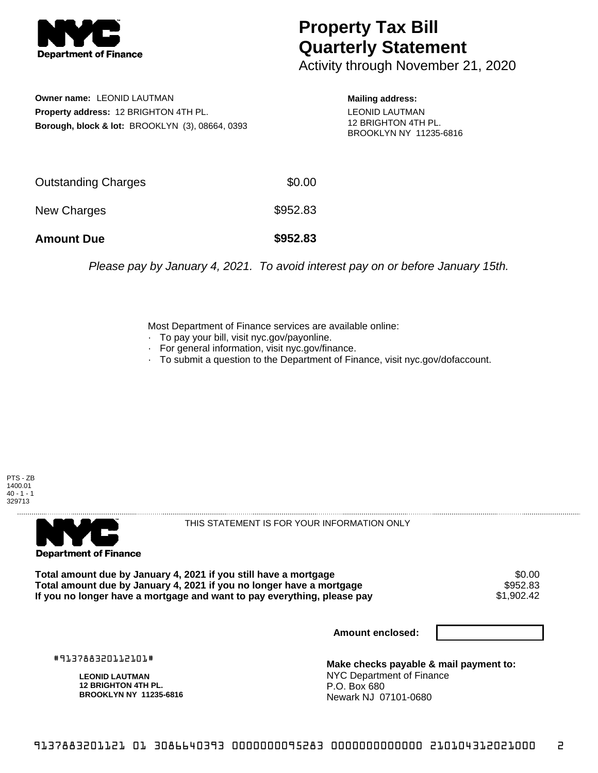

## **Property Tax Bill Quarterly Statement**

Activity through November 21, 2020

**Owner name:** LEONID LAUTMAN **Property address:** 12 BRIGHTON 4TH PL. **Borough, block & lot:** BROOKLYN (3), 08664, 0393

**Mailing address:** LEONID LAUTMAN 12 BRIGHTON 4TH PL. BROOKLYN NY 11235-6816

| <b>Amount Due</b>   | \$952.83 |
|---------------------|----------|
| New Charges         | \$952.83 |
| Outstanding Charges | \$0.00   |

Please pay by January 4, 2021. To avoid interest pay on or before January 15th.

Most Department of Finance services are available online:

- · To pay your bill, visit nyc.gov/payonline.
- For general information, visit nyc.gov/finance.
- · To submit a question to the Department of Finance, visit nyc.gov/dofaccount.





THIS STATEMENT IS FOR YOUR INFORMATION ONLY

Total amount due by January 4, 2021 if you still have a mortgage \$0.00<br>Total amount due by January 4, 2021 if you no longer have a mortgage \$952.83 **Total amount due by January 4, 2021 if you no longer have a mortgage \$952.83**<br>If you no longer have a mortgage and want to pay everything, please pay \$1,902.42 If you no longer have a mortgage and want to pay everything, please pay

**Amount enclosed:**

#913788320112101#

**LEONID LAUTMAN 12 BRIGHTON 4TH PL. BROOKLYN NY 11235-6816**

**Make checks payable & mail payment to:** NYC Department of Finance P.O. Box 680 Newark NJ 07101-0680